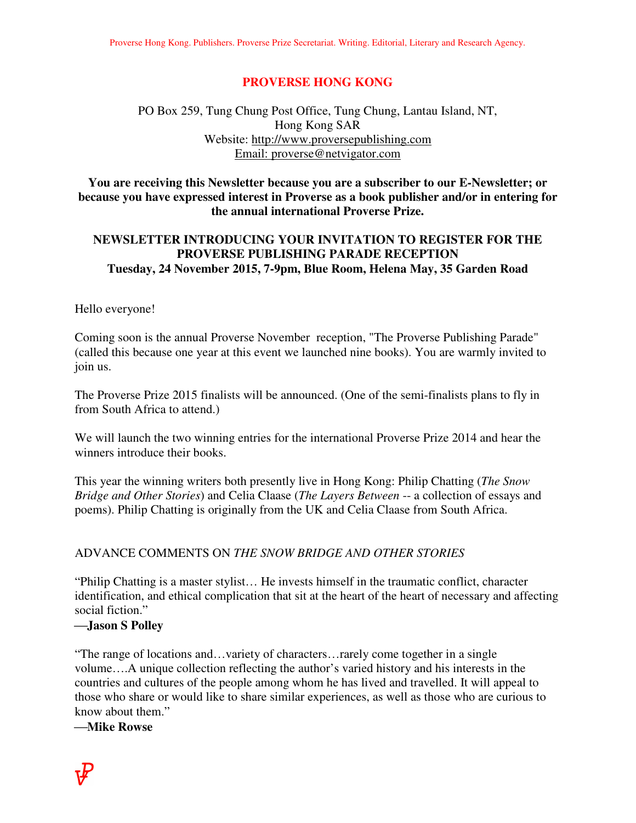## **PROVERSE HONG KONG**

# PO Box 259, Tung Chung Post Office, Tung Chung, Lantau Island, NT, Hong Kong SAR Website: http://www.proversepublishing.com Email: proverse@netvigator.com

### **You are receiving this Newsletter because you are a subscriber to our E-Newsletter; or because you have expressed interest in Proverse as a book publisher and/or in entering for the annual international Proverse Prize.**

# **NEWSLETTER INTRODUCING YOUR INVITATION TO REGISTER FOR THE PROVERSE PUBLISHING PARADE RECEPTION Tuesday, 24 November 2015, 7-9pm, Blue Room, Helena May, 35 Garden Road**

#### Hello everyone!

Coming soon is the annual Proverse November reception, "The Proverse Publishing Parade" (called this because one year at this event we launched nine books). You are warmly invited to join us.

The Proverse Prize 2015 finalists will be announced. (One of the semi-finalists plans to fly in from South Africa to attend.)

We will launch the two winning entries for the international Proverse Prize 2014 and hear the winners introduce their books.

This year the winning writers both presently live in Hong Kong: Philip Chatting (*The Snow Bridge and Other Stories*) and Celia Claase (*The Layers Between* -- a collection of essays and poems). Philip Chatting is originally from the UK and Celia Claase from South Africa.

#### ADVANCE COMMENTS ON *THE SNOW BRIDGE AND OTHER STORIES*

"Philip Chatting is a master stylist… He invests himself in the traumatic conflict, character identification, and ethical complication that sit at the heart of the heart of necessary and affecting social fiction."

#### **Jason S Polley**

"The range of locations and…variety of characters…rarely come together in a single volume….A unique collection reflecting the author's varied history and his interests in the countries and cultures of the people among whom he has lived and travelled. It will appeal to those who share or would like to share similar experiences, as well as those who are curious to know about them."

**Mike Rowse**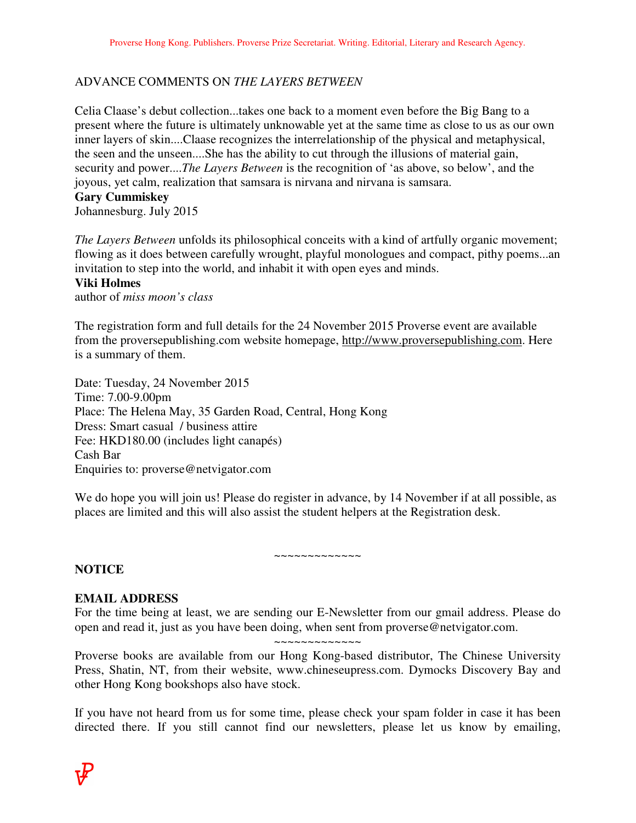# ADVANCE COMMENTS ON *THE LAYERS BETWEEN*

Celia Claase's debut collection...takes one back to a moment even before the Big Bang to a present where the future is ultimately unknowable yet at the same time as close to us as our own inner layers of skin....Claase recognizes the interrelationship of the physical and metaphysical, the seen and the unseen....She has the ability to cut through the illusions of material gain, security and power....*The Layers Between* is the recognition of 'as above, so below', and the joyous, yet calm, realization that samsara is nirvana and nirvana is samsara.

### **Gary Cummiskey**

Johannesburg. July 2015

*The Layers Between* unfolds its philosophical conceits with a kind of artfully organic movement; flowing as it does between carefully wrought, playful monologues and compact, pithy poems...an invitation to step into the world, and inhabit it with open eyes and minds.

#### **Viki Holmes**

author of *miss moon's class* 

The registration form and full details for the 24 November 2015 Proverse event are available from the proversepublishing.com website homepage, http://www.proversepublishing.com. Here is a summary of them.

Date: Tuesday, 24 November 2015 Time: 7.00-9.00pm Place: The Helena May, 35 Garden Road, Central, Hong Kong Dress: Smart casual / business attire Fee: HKD180.00 (includes light canapés) Cash Bar Enquiries to: proverse@netvigator.com

We do hope you will join us! Please do register in advance, by 14 November if at all possible, as places are limited and this will also assist the student helpers at the Registration desk.

~~~~~~~~~~~

## **NOTICE**

## **EMAIL ADDRESS**

For the time being at least, we are sending our E-Newsletter from our gmail address. Please do open and read it, just as you have been doing, when sent from proverse@netvigator.com. ~~~~~~~~~~~~~

Proverse books are available from our Hong Kong-based distributor, The Chinese University Press, Shatin, NT, from their website, www.chineseupress.com. Dymocks Discovery Bay and other Hong Kong bookshops also have stock.

If you have not heard from us for some time, please check your spam folder in case it has been directed there. If you still cannot find our newsletters, please let us know by emailing,